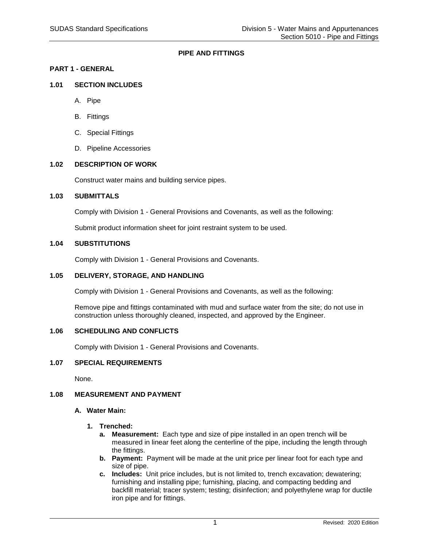# **PIPE AND FITTINGS**

# **PART 1 - GENERAL**

# **1.01 SECTION INCLUDES**

- A. Pipe
- B. Fittings
- C. Special Fittings
- D. Pipeline Accessories

### **1.02 DESCRIPTION OF WORK**

Construct water mains and building service pipes.

### **1.03 SUBMITTALS**

Comply with Division 1 - General Provisions and Covenants, as well as the following:

Submit product information sheet for joint restraint system to be used.

# **1.04 SUBSTITUTIONS**

Comply with Division 1 - General Provisions and Covenants.

### **1.05 DELIVERY, STORAGE, AND HANDLING**

Comply with Division 1 - General Provisions and Covenants, as well as the following:

Remove pipe and fittings contaminated with mud and surface water from the site; do not use in construction unless thoroughly cleaned, inspected, and approved by the Engineer.

## **1.06 SCHEDULING AND CONFLICTS**

Comply with Division 1 - General Provisions and Covenants.

#### **1.07 SPECIAL REQUIREMENTS**

None.

#### **1.08 MEASUREMENT AND PAYMENT**

#### **A. Water Main:**

- **1. Trenched:**
	- **a. Measurement:** Each type and size of pipe installed in an open trench will be measured in linear feet along the centerline of the pipe, including the length through the fittings.
	- **b. Payment:** Payment will be made at the unit price per linear foot for each type and size of pipe.
	- **c. Includes:** Unit price includes, but is not limited to, trench excavation; dewatering; furnishing and installing pipe; furnishing, placing, and compacting bedding and backfill material; tracer system; testing; disinfection; and polyethylene wrap for ductile iron pipe and for fittings.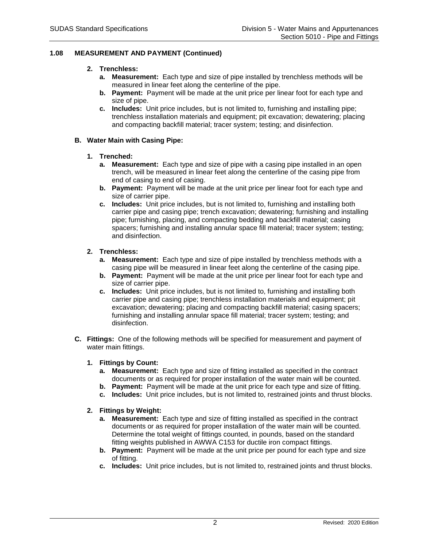# **1.08 MEASUREMENT AND PAYMENT (Continued)**

# **2. Trenchless:**

- **a. Measurement:** Each type and size of pipe installed by trenchless methods will be measured in linear feet along the centerline of the pipe.
- **b. Payment:** Payment will be made at the unit price per linear foot for each type and size of pipe.
- **c. Includes:** Unit price includes, but is not limited to, furnishing and installing pipe; trenchless installation materials and equipment; pit excavation; dewatering; placing and compacting backfill material; tracer system; testing; and disinfection.

# **B. Water Main with Casing Pipe:**

### **1. Trenched:**

- **a. Measurement:** Each type and size of pipe with a casing pipe installed in an open trench, will be measured in linear feet along the centerline of the casing pipe from end of casing to end of casing.
- **b. Payment:** Payment will be made at the unit price per linear foot for each type and size of carrier pipe.
- **c. Includes:** Unit price includes, but is not limited to, furnishing and installing both carrier pipe and casing pipe; trench excavation; dewatering; furnishing and installing pipe; furnishing, placing, and compacting bedding and backfill material; casing spacers; furnishing and installing annular space fill material; tracer system; testing; and disinfection.

### **2. Trenchless:**

- **a. Measurement:** Each type and size of pipe installed by trenchless methods with a casing pipe will be measured in linear feet along the centerline of the casing pipe.
- **b. Payment:** Payment will be made at the unit price per linear foot for each type and size of carrier pipe.
- **c. Includes:** Unit price includes, but is not limited to, furnishing and installing both carrier pipe and casing pipe; trenchless installation materials and equipment; pit excavation; dewatering; placing and compacting backfill material; casing spacers; furnishing and installing annular space fill material; tracer system; testing; and disinfection.
- **C. Fittings:** One of the following methods will be specified for measurement and payment of water main fittings.

#### **1. Fittings by Count:**

- **a. Measurement:** Each type and size of fitting installed as specified in the contract documents or as required for proper installation of the water main will be counted.
- **b. Payment:** Payment will be made at the unit price for each type and size of fitting.
- **c. Includes:** Unit price includes, but is not limited to, restrained joints and thrust blocks.

# **2. Fittings by Weight:**

- **a. Measurement:** Each type and size of fitting installed as specified in the contract documents or as required for proper installation of the water main will be counted. Determine the total weight of fittings counted, in pounds, based on the standard fitting weights published in AWWA C153 for ductile iron compact fittings.
- **b. Payment:** Payment will be made at the unit price per pound for each type and size of fitting.
- **c. Includes:** Unit price includes, but is not limited to, restrained joints and thrust blocks.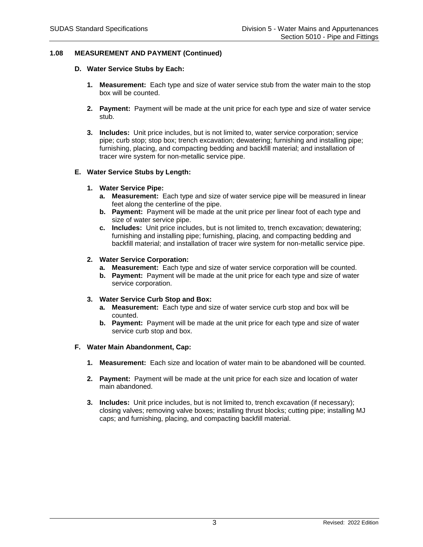# **1.08 MEASUREMENT AND PAYMENT (Continued)**

- **D. Water Service Stubs by Each:**
	- **1. Measurement:** Each type and size of water service stub from the water main to the stop box will be counted.
	- **2. Payment:** Payment will be made at the unit price for each type and size of water service stub.
	- **3. Includes:** Unit price includes, but is not limited to, water service corporation; service pipe; curb stop; stop box; trench excavation; dewatering; furnishing and installing pipe; furnishing, placing, and compacting bedding and backfill material; and installation of tracer wire system for non-metallic service pipe.

# **E. Water Service Stubs by Length:**

- **1. Water Service Pipe:**
	- **a. Measurement:** Each type and size of water service pipe will be measured in linear feet along the centerline of the pipe.
	- **b. Payment:** Payment will be made at the unit price per linear foot of each type and size of water service pipe.
	- **c. Includes:** Unit price includes, but is not limited to, trench excavation; dewatering; furnishing and installing pipe; furnishing, placing, and compacting bedding and backfill material; and installation of tracer wire system for non-metallic service pipe.

### **2. Water Service Corporation:**

- **a. Measurement:** Each type and size of water service corporation will be counted.
- **b. Payment:** Payment will be made at the unit price for each type and size of water service corporation.

### **3. Water Service Curb Stop and Box:**

- **a. Measurement:** Each type and size of water service curb stop and box will be counted.
- **b. Payment:** Payment will be made at the unit price for each type and size of water service curb stop and box.

#### **F. Water Main Abandonment, Cap:**

- **1. Measurement:** Each size and location of water main to be abandoned will be counted.
- **2. Payment:** Payment will be made at the unit price for each size and location of water main abandoned.
- **3. Includes:** Unit price includes, but is not limited to, trench excavation (if necessary); closing valves; removing valve boxes; installing thrust blocks; cutting pipe; installing MJ caps; and furnishing, placing, and compacting backfill material.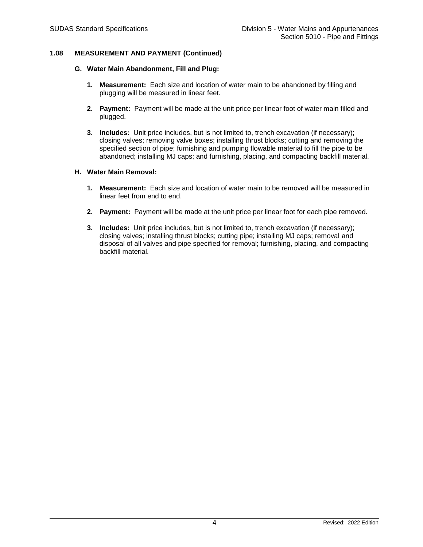# **1.08 MEASUREMENT AND PAYMENT (Continued)**

### **G. Water Main Abandonment, Fill and Plug:**

- **1. Measurement:** Each size and location of water main to be abandoned by filling and plugging will be measured in linear feet.
- **2. Payment:** Payment will be made at the unit price per linear foot of water main filled and plugged.
- **3. Includes:** Unit price includes, but is not limited to, trench excavation (if necessary); closing valves; removing valve boxes; installing thrust blocks; cutting and removing the specified section of pipe; furnishing and pumping flowable material to fill the pipe to be abandoned; installing MJ caps; and furnishing, placing, and compacting backfill material.

### **H. Water Main Removal:**

- **1. Measurement:** Each size and location of water main to be removed will be measured in linear feet from end to end.
- **2. Payment:** Payment will be made at the unit price per linear foot for each pipe removed.
- **3. Includes:** Unit price includes, but is not limited to, trench excavation (if necessary); closing valves; installing thrust blocks; cutting pipe; installing MJ caps; removal and disposal of all valves and pipe specified for removal; furnishing, placing, and compacting backfill material.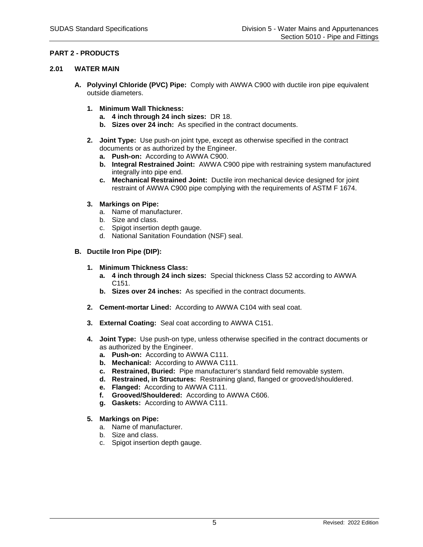# **PART 2 - PRODUCTS**

### **2.01 WATER MAIN**

- **A. Polyvinyl Chloride (PVC) Pipe:** Comply with AWWA C900 with ductile iron pipe equivalent outside diameters.
	- **1. Minimum Wall Thickness:**
		- **a. 4 inch through 24 inch sizes:** DR 18.
		- **b. Sizes over 24 inch:** As specified in the contract documents.
	- **2. Joint Type:** Use push-on joint type, except as otherwise specified in the contract documents or as authorized by the Engineer.
		- **a. Push-on:** According to AWWA C900.
		- **b. Integral Restrained Joint:** AWWA C900 pipe with restraining system manufactured integrally into pipe end.
		- **c. Mechanical Restrained Joint:** Ductile iron mechanical device designed for joint restraint of AWWA C900 pipe complying with the requirements of ASTM F 1674.
	- **3. Markings on Pipe:**
		- a. Name of manufacturer.
		- b. Size and class.
		- c. Spigot insertion depth gauge.
		- d. National Sanitation Foundation (NSF) seal.

# **B. Ductile Iron Pipe (DIP):**

- **1. Minimum Thickness Class:**
	- **a. 4 inch through 24 inch sizes:** Special thickness Class 52 according to AWWA C151.
	- **b. Sizes over 24 inches:** As specified in the contract documents.
- **2. Cement-mortar Lined:** According to AWWA C104 with seal coat.
- **3. External Coating:** Seal coat according to AWWA C151.
- **4. Joint Type:** Use push-on type, unless otherwise specified in the contract documents or as authorized by the Engineer.
	- **a. Push-on:** According to AWWA C111.
	- **b. Mechanical:** According to AWWA C111.
	- **c.** Restrained, Buried: Pipe manufacturer's standard field removable system.
	- **d. Restrained, in Structures:** Restraining gland, flanged or grooved/shouldered.
	- **e. Flanged:** According to AWWA C111.
	- **f. Grooved/Shouldered:** According to AWWA C606.
	- **g. Gaskets:** According to AWWA C111.
- **5. Markings on Pipe:**
	- a. Name of manufacturer.
	- b. Size and class.
	- c. Spigot insertion depth gauge.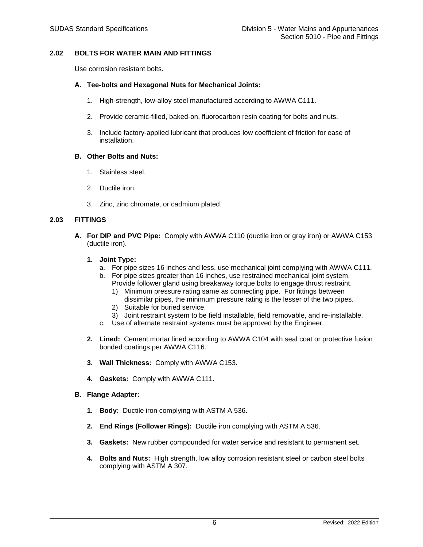### **2.02 BOLTS FOR WATER MAIN AND FITTINGS**

Use corrosion resistant bolts.

### **A. Tee-bolts and Hexagonal Nuts for Mechanical Joints:**

- 1. High-strength, low-alloy steel manufactured according to AWWA C111.
- 2. Provide ceramic-filled, baked-on, fluorocarbon resin coating for bolts and nuts.
- 3. Include factory-applied lubricant that produces low coefficient of friction for ease of installation.

#### **B. Other Bolts and Nuts:**

- 1. Stainless steel.
- 2. Ductile iron.
- 3. Zinc, zinc chromate, or cadmium plated.

#### **2.03 FITTINGS**

**A. For DIP and PVC Pipe:** Comply with AWWA C110 (ductile iron or gray iron) or AWWA C153 (ductile iron).

#### **1. Joint Type:**

- a. For pipe sizes 16 inches and less, use mechanical joint complying with AWWA C111.
- b. For pipe sizes greater than 16 inches, use restrained mechanical joint system. Provide follower gland using breakaway torque bolts to engage thrust restraint.
	- 1) Minimum pressure rating same as connecting pipe. For fittings between dissimilar pipes, the minimum pressure rating is the lesser of the two pipes.
	- 2) Suitable for buried service.
	- 3) Joint restraint system to be field installable, field removable, and re-installable.
- c. Use of alternate restraint systems must be approved by the Engineer.
- **2. Lined:** Cement mortar lined according to AWWA C104 with seal coat or protective fusion bonded coatings per AWWA C116.
- **3. Wall Thickness:** Comply with AWWA C153.
- **4. Gaskets:** Comply with AWWA C111.
- **B. Flange Adapter:**
	- **1. Body:** Ductile iron complying with ASTM A 536.
	- **2. End Rings (Follower Rings):** Ductile iron complying with ASTM A 536.
	- **3. Gaskets:** New rubber compounded for water service and resistant to permanent set.
	- **4. Bolts and Nuts:** High strength, low alloy corrosion resistant steel or carbon steel bolts complying with ASTM A 307.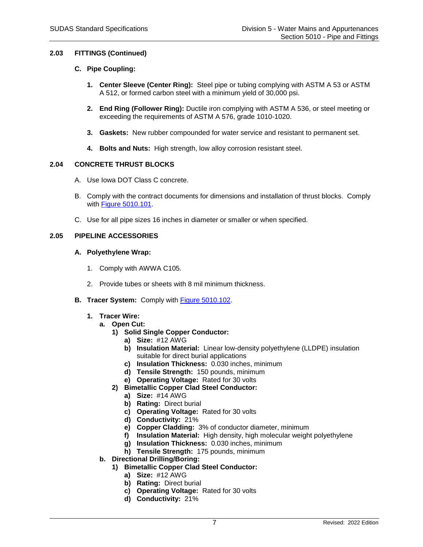# **2.03 FITTINGS (Continued)**

# **C. Pipe Coupling:**

- **1. Center Sleeve (Center Ring):** Steel pipe or tubing complying with ASTM A 53 or ASTM A 512, or formed carbon steel with a minimum yield of 30,000 psi.
- **2. End Ring (Follower Ring):** Ductile iron complying with ASTM A 536, or steel meeting or exceeding the requirements of ASTM A 576, grade 1010-1020.
- **3. Gaskets:** New rubber compounded for water service and resistant to permanent set.
- **4. Bolts and Nuts:** High strength, low alloy corrosion resistant steel.

### **2.04 CONCRETE THRUST BLOCKS**

- A. Use Iowa DOT Class C concrete.
- B. Comply with the contract documents for dimensions and installation of thrust blocks. Comply with [Figure 5010.101.](https://intrans.iastate.edu/app/uploads/sites/15/2020/02/5010_101.pdf)
- C. Use for all pipe sizes 16 inches in diameter or smaller or when specified.

### **2.05 PIPELINE ACCESSORIES**

### **A. Polyethylene Wrap:**

- 1. Comply with AWWA C105.
- 2. Provide tubes or sheets with 8 mil minimum thickness.
- **B. Tracer System:** Comply with [Figure 5010.102.](https://intrans.iastate.edu/app/uploads/sites/15/2020/02/5010_102.pdf)
	- **1. Tracer Wire:**
		- **a. Open Cut:**
			- **1) Solid Single Copper Conductor:**
				- **a) Size:** #12 AWG
				- **b) Insulation Material:** Linear low-density polyethylene (LLDPE) insulation suitable for direct burial applications
				- **c) Insulation Thickness:** 0.030 inches, minimum
				- **d) Tensile Strength:** 150 pounds, minimum
				- **e) Operating Voltage:** Rated for 30 volts
			- **2) Bimetallic Copper Clad Steel Conductor:**
				- **a) Size:** #14 AWG
				- **b) Rating:** Direct burial
				- **c) Operating Voltage:** Rated for 30 volts
				- **d) Conductivity:** 21%
				- **e) Copper Cladding:** 3% of conductor diameter, minimum
				- **f) Insulation Material:** High density, high molecular weight polyethylene
				- **g) Insulation Thickness:** 0.030 inches, minimum
				- **h) Tensile Strength:** 175 pounds, minimum
		- **b. Directional Drilling/Boring:**
			- **1) Bimetallic Copper Clad Steel Conductor:**
				- **a) Size:** #12 AWG
				- **b) Rating:** Direct burial
				- **c) Operating Voltage:** Rated for 30 volts
				- **d) Conductivity:** 21%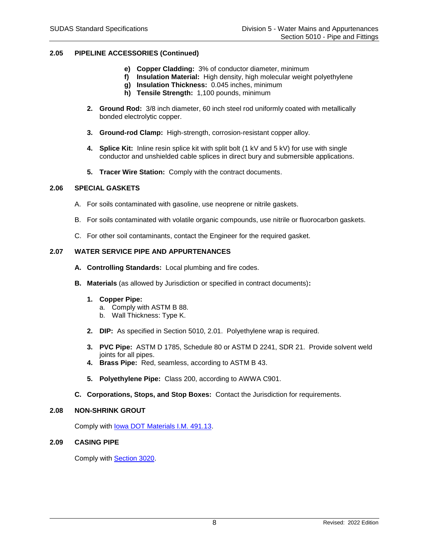# **2.05 PIPELINE ACCESSORIES (Continued)**

- **e) Copper Cladding:** 3% of conductor diameter, minimum
- **f) Insulation Material:** High density, high molecular weight polyethylene
- **g) Insulation Thickness:** 0.045 inches, minimum
- **h) Tensile Strength:** 1,100 pounds, minimum
- **2. Ground Rod:** 3/8 inch diameter, 60 inch steel rod uniformly coated with metallically bonded electrolytic copper.
- **3. Ground-rod Clamp:** High-strength, corrosion-resistant copper alloy.
- **4. Splice Kit:** Inline resin splice kit with split bolt (1 kV and 5 kV) for use with single conductor and unshielded cable splices in direct bury and submersible applications.
- **5. Tracer Wire Station:** Comply with the contract documents.

#### **2.06 SPECIAL GASKETS**

- A. For soils contaminated with gasoline, use neoprene or nitrile gaskets.
- B. For soils contaminated with volatile organic compounds, use nitrile or fluorocarbon gaskets.
- C. For other soil contaminants, contact the Engineer for the required gasket.

# **2.07 WATER SERVICE PIPE AND APPURTENANCES**

- **A. Controlling Standards:** Local plumbing and fire codes.
- **B. Materials** (as allowed by Jurisdiction or specified in contract documents)**:**
	- **1. Copper Pipe:**
		- a. Comply with ASTM B 88.
		- b. Wall Thickness: Type K.
	- **2. DIP:** As specified in Section 5010, 2.01. Polyethylene wrap is required.
	- **3. PVC Pipe:** ASTM D 1785, Schedule 80 or ASTM D 2241, SDR 21. Provide solvent weld joints for all pipes.
	- **4. Brass Pipe:** Red, seamless, according to ASTM B 43.
	- **5. Polyethylene Pipe:** Class 200, according to AWWA C901.
- **C. Corporations, Stops, and Stop Boxes:** Contact the Jurisdiction for requirements.

### **2.08 NON-SHRINK GROUT**

Comply with [Iowa DOT Materials I.M. 491.13.](https://www.iowadot.gov/erl/current/IM/content/491.13.htm)

# **2.09 CASING PIPE**

Comply with [Section 3020.](https://intrans.iastate.edu/app/uploads/sites/15/2020/02/3020.pdf)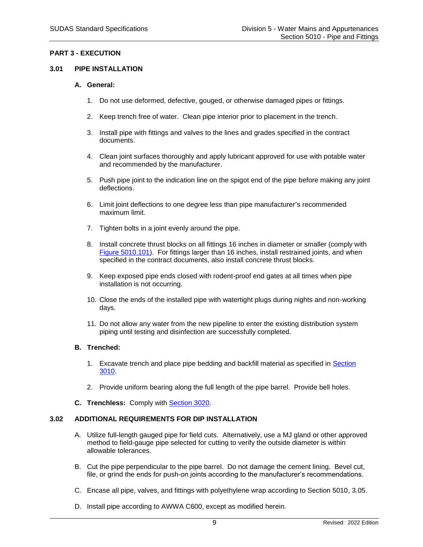## **PART 3 - EXECUTION**

#### **3.01 PIPE INSTALLATION**

#### **A. General:**

- 1. Do not use deformed, defective, gouged, or otherwise damaged pipes or fittings.
- 2. Keep trench free of water. Clean pipe interior prior to placement in the trench.
- 3. Install pipe with fittings and valves to the lines and grades specified in the contract documents.
- 4. Clean joint surfaces thoroughly and apply lubricant approved for use with potable water and recommended by the manufacturer.
- 5. Push pipe joint to the indication line on the spigot end of the pipe before making any joint deflections.
- 6. Limit joint deflections to one degree less than pipe manufacturer's recommended maximum limit.
- 7. Tighten bolts in a joint evenly around the pipe.
- 8. Install concrete thrust blocks on all fittings 16 inches in diameter or smaller (comply with [Figure 5010.101\)](https://intrans.iastate.edu/app/uploads/sites/15/2020/02/5010_101.pdf). For fittings larger than 16 inches, install restrained joints, and when specified in the contract documents, also install concrete thrust blocks.
- 9. Keep exposed pipe ends closed with rodent-proof end gates at all times when pipe installation is not occurring.
- 10. Close the ends of the installed pipe with watertight plugs during nights and non-working days.
- 11. Do not allow any water from the new pipeline to enter the existing distribution system piping until testing and disinfection are successfully completed.

#### **B. Trenched:**

- 1. Excavate trench and place pipe bedding and backfill material as specified in [Section](https://intrans.iastate.edu/app/uploads/sites/15/2020/02/3010.pdf)  [3010.](https://intrans.iastate.edu/app/uploads/sites/15/2020/02/3010.pdf)
- 2. Provide uniform bearing along the full length of the pipe barrel. Provide bell holes.
- **C. Trenchless:** Comply with [Section 3020.](https://intrans.iastate.edu/app/uploads/sites/15/2020/02/3020.pdf)

# **3.02 ADDITIONAL REQUIREMENTS FOR DIP INSTALLATION**

- A. Utilize full-length gauged pipe for field cuts. Alternatively, use a MJ gland or other approved method to field-gauge pipe selected for cutting to verify the outside diameter is within allowable tolerances.
- B. Cut the pipe perpendicular to the pipe barrel. Do not damage the cement lining. Bevel cut, file, or grind the ends for push-on joints according to the manufacturer's recommendations.
- C. Encase all pipe, valves, and fittings with polyethylene wrap according to Section 5010, 3.05.
- D. Install pipe according to AWWA C600, except as modified herein.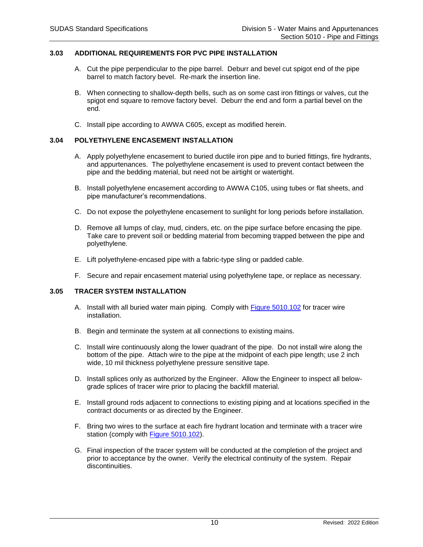# **3.03 ADDITIONAL REQUIREMENTS FOR PVC PIPE INSTALLATION**

- A. Cut the pipe perpendicular to the pipe barrel. Deburr and bevel cut spigot end of the pipe barrel to match factory bevel. Re-mark the insertion line.
- B. When connecting to shallow-depth bells, such as on some cast iron fittings or valves, cut the spigot end square to remove factory bevel. Deburr the end and form a partial bevel on the end.
- C. Install pipe according to AWWA C605, except as modified herein.

# **3.04 POLYETHYLENE ENCASEMENT INSTALLATION**

- A. Apply polyethylene encasement to buried ductile iron pipe and to buried fittings, fire hydrants, and appurtenances. The polyethylene encasement is used to prevent contact between the pipe and the bedding material, but need not be airtight or watertight.
- B. Install polyethylene encasement according to AWWA C105, using tubes or flat sheets, and pipe manufacturer's recommendations.
- C. Do not expose the polyethylene encasement to sunlight for long periods before installation.
- D. Remove all lumps of clay, mud, cinders, etc. on the pipe surface before encasing the pipe. Take care to prevent soil or bedding material from becoming trapped between the pipe and polyethylene.
- E. Lift polyethylene-encased pipe with a fabric-type sling or padded cable.
- F. Secure and repair encasement material using polyethylene tape, or replace as necessary.

#### **3.05 TRACER SYSTEM INSTALLATION**

- A. Install with all buried water main piping. Comply with [Figure 5010.102](https://intrans.iastate.edu/app/uploads/sites/15/2020/02/5010_102.pdf) for tracer wire installation.
- B. Begin and terminate the system at all connections to existing mains.
- C. Install wire continuously along the lower quadrant of the pipe. Do not install wire along the bottom of the pipe. Attach wire to the pipe at the midpoint of each pipe length; use 2 inch wide, 10 mil thickness polyethylene pressure sensitive tape.
- D. Install splices only as authorized by the Engineer. Allow the Engineer to inspect all belowgrade splices of tracer wire prior to placing the backfill material.
- E. Install ground rods adjacent to connections to existing piping and at locations specified in the contract documents or as directed by the Engineer.
- F. Bring two wires to the surface at each fire hydrant location and terminate with a tracer wire station (comply with [Figure 5010.102\)](https://intrans.iastate.edu/app/uploads/sites/15/2020/02/5010_102.pdf).
- G. Final inspection of the tracer system will be conducted at the completion of the project and prior to acceptance by the owner. Verify the electrical continuity of the system. Repair discontinuities.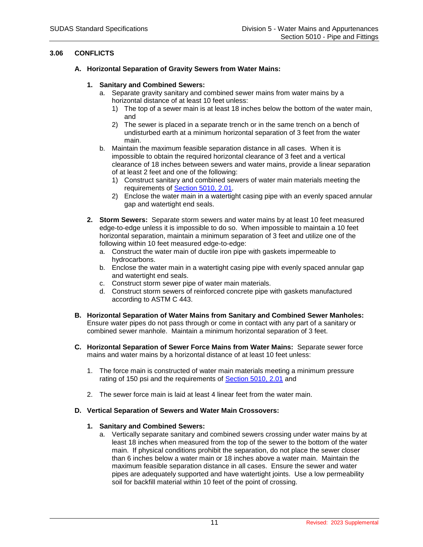# **3.06 CONFLICTS**

- **A. Horizontal Separation of Gravity Sewers from Water Mains:**
	- **1. Sanitary and Combined Sewers:**
		- a. Separate gravity sanitary and combined sewer mains from water mains by a horizontal distance of at least 10 feet unless:
			- 1) The top of a sewer main is at least 18 inches below the bottom of the water main, and
			- 2) The sewer is placed in a separate trench or in the same trench on a bench of undisturbed earth at a minimum horizontal separation of 3 feet from the water main.
		- b. Maintain the maximum feasible separation distance in all cases. When it is impossible to obtain the required horizontal clearance of 3 feet and a vertical clearance of 18 inches between sewers and water mains, provide a linear separation of at least 2 feet and one of the following:
			- 1) Construct sanitary and combined sewers of water main materials meeting the requirements of [Section 5010, 2.01.](https://intrans.iastate.edu/app/uploads/sites/15/2020/02/5010.pdf#page=5)
			- 2) Enclose the water main in a watertight casing pipe with an evenly spaced annular gap and watertight end seals.
	- **2. Storm Sewers:** Separate storm sewers and water mains by at least 10 feet measured edge-to-edge unless it is impossible to do so. When impossible to maintain a 10 feet horizontal separation, maintain a minimum separation of 3 feet and utilize one of the following within 10 feet measured edge-to-edge:
		- a. Construct the water main of ductile iron pipe with gaskets impermeable to hydrocarbons.
		- b. Enclose the water main in a watertight casing pipe with evenly spaced annular gap and watertight end seals.
		- c. Construct storm sewer pipe of water main materials.
		- d. Construct storm sewers of reinforced concrete pipe with gaskets manufactured according to ASTM C 443.
- **B. Horizontal Separation of Water Mains from Sanitary and Combined Sewer Manholes:** Ensure water pipes do not pass through or come in contact with any part of a sanitary or combined sewer manhole. Maintain a minimum horizontal separation of 3 feet.
- **C. Horizontal Separation of Sewer Force Mains from Water Mains:** Separate sewer force mains and water mains by a horizontal distance of at least 10 feet unless:
	- 1. The force main is constructed of water main materials meeting a minimum pressure rating of 150 psi and the requirements of [Section 5010, 2.01](https://intrans.iastate.edu/app/uploads/sites/15/2020/02/5010.pdf#page=5) and
	- 2. The sewer force main is laid at least 4 linear feet from the water main.

# **D. Vertical Separation of Sewers and Water Main Crossovers:**

# **1. Sanitary and Combined Sewers:**

a. Vertically separate sanitary and combined sewers crossing under water mains by at least 18 inches when measured from the top of the sewer to the bottom of the water main. If physical conditions prohibit the separation, do not place the sewer closer than 6 inches below a water main or 18 inches above a water main. Maintain the maximum feasible separation distance in all cases. Ensure the sewer and water pipes are adequately supported and have watertight joints. Use a low permeability soil for backfill material within 10 feet of the point of crossing.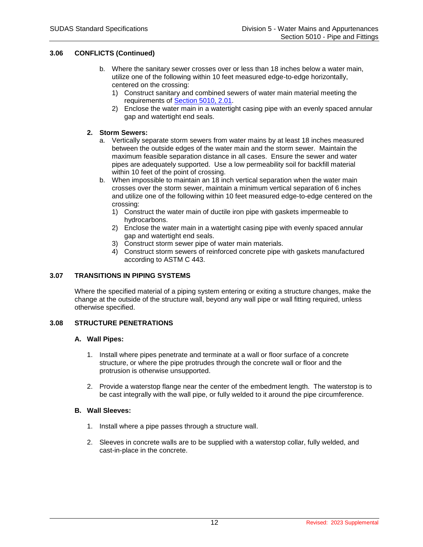# **3.06 CONFLICTS (Continued)**

- b. Where the sanitary sewer crosses over or less than 18 inches below a water main, utilize one of the following within 10 feet measured edge-to-edge horizontally, centered on the crossing:
	- 1) Construct sanitary and combined sewers of water main material meeting the requirements of [Section 5010, 2.01.](https://intrans.iastate.edu/app/uploads/sites/15/2020/02/5010.pdf#page=5)
	- 2) Enclose the water main in a watertight casing pipe with an evenly spaced annular gap and watertight end seals.

### **2. Storm Sewers:**

- a. Vertically separate storm sewers from water mains by at least 18 inches measured between the outside edges of the water main and the storm sewer. Maintain the maximum feasible separation distance in all cases. Ensure the sewer and water pipes are adequately supported. Use a low permeability soil for backfill material within 10 feet of the point of crossing.
- b. When impossible to maintain an 18 inch vertical separation when the water main crosses over the storm sewer, maintain a minimum vertical separation of 6 inches and utilize one of the following within 10 feet measured edge-to-edge centered on the crossing:
	- 1) Construct the water main of ductile iron pipe with gaskets impermeable to hydrocarbons.
	- 2) Enclose the water main in a watertight casing pipe with evenly spaced annular gap and watertight end seals.
	- 3) Construct storm sewer pipe of water main materials.
	- 4) Construct storm sewers of reinforced concrete pipe with gaskets manufactured according to ASTM C 443.

### **3.07 TRANSITIONS IN PIPING SYSTEMS**

Where the specified material of a piping system entering or exiting a structure changes, make the change at the outside of the structure wall, beyond any wall pipe or wall fitting required, unless otherwise specified.

## **3.08 STRUCTURE PENETRATIONS**

#### **A. Wall Pipes:**

- 1. Install where pipes penetrate and terminate at a wall or floor surface of a concrete structure, or where the pipe protrudes through the concrete wall or floor and the protrusion is otherwise unsupported.
- 2. Provide a waterstop flange near the center of the embedment length. The waterstop is to be cast integrally with the wall pipe, or fully welded to it around the pipe circumference.

### **B. Wall Sleeves:**

- 1. Install where a pipe passes through a structure wall.
- 2. Sleeves in concrete walls are to be supplied with a waterstop collar, fully welded, and cast-in-place in the concrete.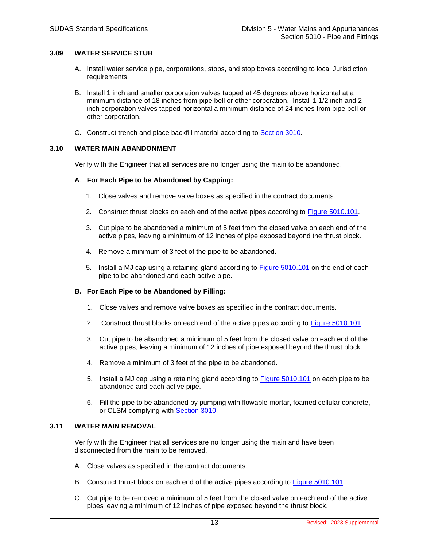## **3.09 WATER SERVICE STUB**

- A. Install water service pipe, corporations, stops, and stop boxes according to local Jurisdiction requirements.
- B. Install 1 inch and smaller corporation valves tapped at 45 degrees above horizontal at a minimum distance of 18 inches from pipe bell or other corporation. Install 1 1/2 inch and 2 inch corporation valves tapped horizontal a minimum distance of 24 inches from pipe bell or other corporation.
- C. Construct trench and place backfill material according to [Section 3010.](https://intrans.iastate.edu/app/uploads/sites/15/2020/02/3010.pdf)

### **3.10 WATER MAIN ABANDONMENT**

Verify with the Engineer that all services are no longer using the main to be abandoned.

#### **A**. **For Each Pipe to be Abandoned by Capping:**

- 1. Close valves and remove valve boxes as specified in the contract documents.
- 2. Construct thrust blocks on each end of the active pipes according to [Figure 5010.101.](https://intrans.iastate.edu/app/uploads/sites/15/2020/02/5010_101.pdf)
- 3. Cut pipe to be abandoned a minimum of 5 feet from the closed valve on each end of the active pipes, leaving a minimum of 12 inches of pipe exposed beyond the thrust block.
- 4. Remove a minimum of 3 feet of the pipe to be abandoned.
- 5. Install a MJ cap using a retaining gland according to [Figure 5010.101](https://intrans.iastate.edu/app/uploads/sites/15/2020/02/5010_101.pdf) on the end of each pipe to be abandoned and each active pipe.

#### **B. For Each Pipe to be Abandoned by Filling:**

- 1. Close valves and remove valve boxes as specified in the contract documents.
- 2. Construct thrust blocks on each end of the active pipes according to [Figure 5010.101.](https://intrans.iastate.edu/app/uploads/sites/15/2020/02/5010_101.pdf)
- 3. Cut pipe to be abandoned a minimum of 5 feet from the closed valve on each end of the active pipes, leaving a minimum of 12 inches of pipe exposed beyond the thrust block.
- 4. Remove a minimum of 3 feet of the pipe to be abandoned.
- 5. Install a MJ cap using a retaining gland according to [Figure 5010.101](https://intrans.iastate.edu/app/uploads/sites/15/2020/02/5010_101.pdf) on each pipe to be abandoned and each active pipe.
- 6. Fill the pipe to be abandoned by pumping with flowable mortar, foamed cellular concrete, or CLSM complying with [Section 3010.](https://intrans.iastate.edu/app/uploads/sites/15/2020/02/3010.pdf)

### **3.11 WATER MAIN REMOVAL**

Verify with the Engineer that all services are no longer using the main and have been disconnected from the main to be removed.

- A. Close valves as specified in the contract documents.
- B. Construct thrust block on each end of the active pipes according to **Figure 5010.101**.
- C. Cut pipe to be removed a minimum of 5 feet from the closed valve on each end of the active pipes leaving a minimum of 12 inches of pipe exposed beyond the thrust block.